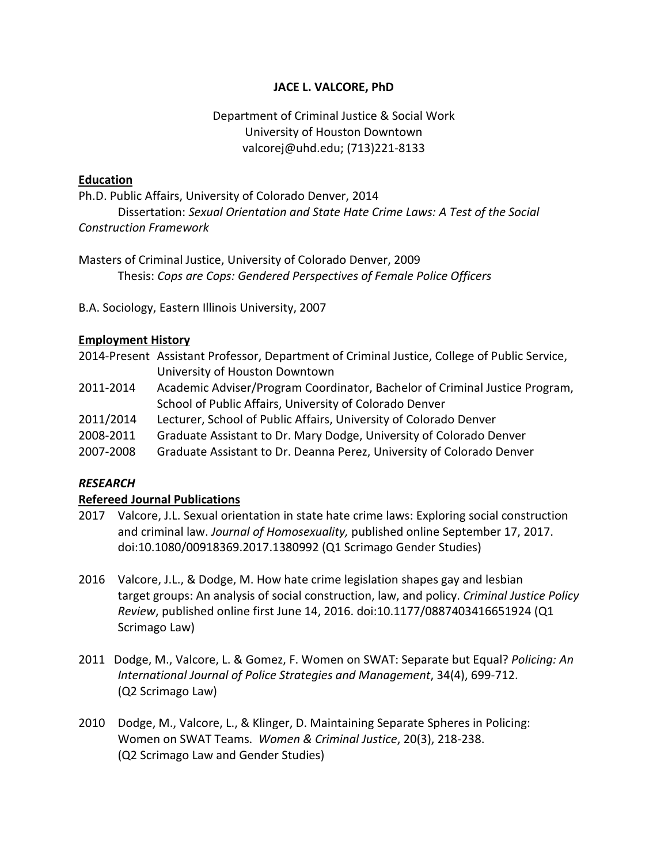### **JACE L. VALCORE, PhD**

## Department of Criminal Justice & Social Work University of Houston Downtown valcorej@uhd.edu; (713)221-8133

#### **Education**

Ph.D. Public Affairs, University of Colorado Denver, 2014 Dissertation: *Sexual Orientation and State Hate Crime Laws: A Test of the Social Construction Framework*

Masters of Criminal Justice, University of Colorado Denver, 2009 Thesis: *Cops are Cops: Gendered Perspectives of Female Police Officers*

B.A. Sociology, Eastern Illinois University, 2007

### **Employment History**

- 2014-Present Assistant Professor, Department of Criminal Justice, College of Public Service, University of Houston Downtown
- 2011-2014 Academic Adviser/Program Coordinator, Bachelor of Criminal Justice Program, School of Public Affairs, University of Colorado Denver
- 2011/2014 Lecturer, School of Public Affairs, University of Colorado Denver
- 2008-2011 Graduate Assistant to Dr. Mary Dodge, University of Colorado Denver
- 2007-2008 Graduate Assistant to Dr. Deanna Perez, University of Colorado Denver

### *RESEARCH*

### **Refereed Journal Publications**

- 2017 Valcore, J.L. Sexual orientation in state hate crime laws: Exploring social construction and criminal law. *Journal of Homosexuality,* published online September 17, 2017. doi:10.1080/00918369.2017.1380992 (Q1 Scrimago Gender Studies)
- 2016 Valcore, J.L., & Dodge, M. How hate crime legislation shapes gay and lesbian target groups: An analysis of social construction, law, and policy. *Criminal Justice Policy Review*, published online first June 14, 2016. doi:10.1177/0887403416651924 (Q1 Scrimago Law)
- 2011 Dodge, M., Valcore, L. & Gomez, F. Women on SWAT: Separate but Equal? *Policing: An International Journal of Police Strategies and Management*, 34(4), 699-712. (Q2 Scrimago Law)
- 2010 Dodge, M., Valcore, L., & Klinger, D. Maintaining Separate Spheres in Policing: Women on SWAT Teams. *Women & Criminal Justice*, 20(3), 218-238. (Q2 Scrimago Law and Gender Studies)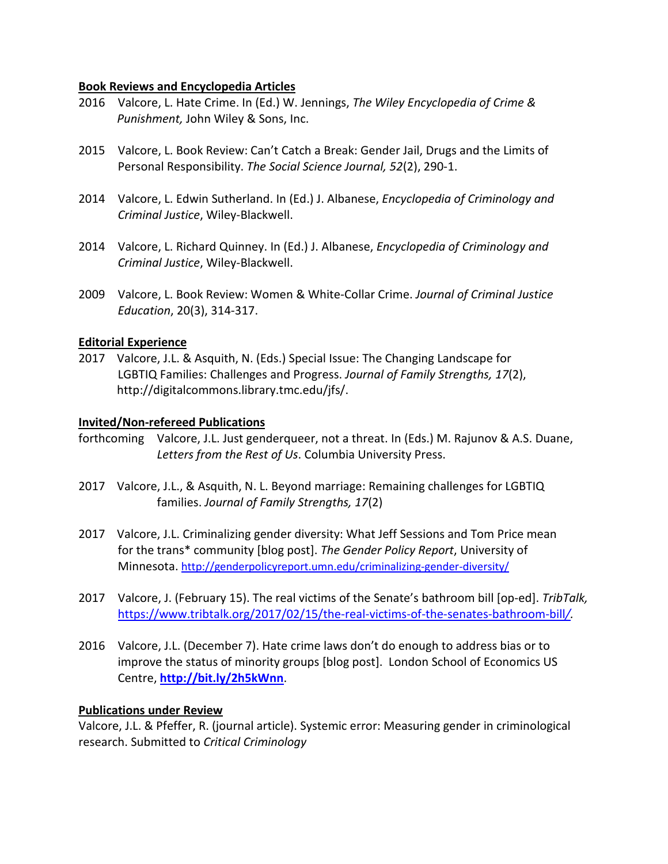#### **Book Reviews and Encyclopedia Articles**

- 2016 Valcore, L. Hate Crime. In (Ed.) W. Jennings, *The Wiley Encyclopedia of Crime & Punishment,* John Wiley & Sons, Inc.
- 2015 Valcore, L. Book Review: Can't Catch a Break: Gender Jail, Drugs and the Limits of Personal Responsibility. *The Social Science Journal, 52*(2), 290-1.
- 2014 Valcore, L. Edwin Sutherland. In (Ed.) J. Albanese, *Encyclopedia of Criminology and Criminal Justice*, Wiley-Blackwell.
- 2014 Valcore, L. Richard Quinney. In (Ed.) J. Albanese, *Encyclopedia of Criminology and Criminal Justice*, Wiley-Blackwell.
- 2009 Valcore, L. Book Review: Women & White-Collar Crime. *Journal of Criminal Justice Education*, 20(3), 314-317.

### **Editorial Experience**

2017 Valcore, J.L. & Asquith, N. (Eds.) Special Issue: The Changing Landscape for LGBTIQ Families: Challenges and Progress. *Journal of Family Strengths, 17*(2), http://digitalcommons.library.tmc.edu/jfs/.

### **Invited/Non-refereed Publications**

- forthcoming Valcore, J.L. Just genderqueer, not a threat. In (Eds.) M. Rajunov & A.S. Duane, *Letters from the Rest of Us*. Columbia University Press.
- 2017 Valcore, J.L., & Asquith, N. L. Beyond marriage: Remaining challenges for LGBTIQ families. *Journal of Family Strengths, 17*(2)
- 2017 Valcore, J.L. Criminalizing gender diversity: What Jeff Sessions and Tom Price mean for the trans\* community [blog post]. *The Gender Policy Report*, University of Minnesota.<http://genderpolicyreport.umn.edu/criminalizing-gender-diversity/>
- 2017 Valcore, J. (February 15). The real victims of the Senate's bathroom bill [op-ed]. *TribTalk,* [https://www.tribtalk.org/2017/02/15/the-real-victims-of-the-senates-bathroom-bill](https://www.tribtalk.org/2017/02/15/the-real-victims-of-the-senates-bathroom-bill/)*/.*
- 2016 Valcore, J.L. (December 7). Hate crime laws don't do enough to address bias or to improve the status of minority groups [blog post]. London School of Economics US Centre, **<http://bit.ly/2h5kWnn>**.

### **Publications under Review**

Valcore, J.L. & Pfeffer, R. (journal article). Systemic error: Measuring gender in criminological research. Submitted to *Critical Criminology*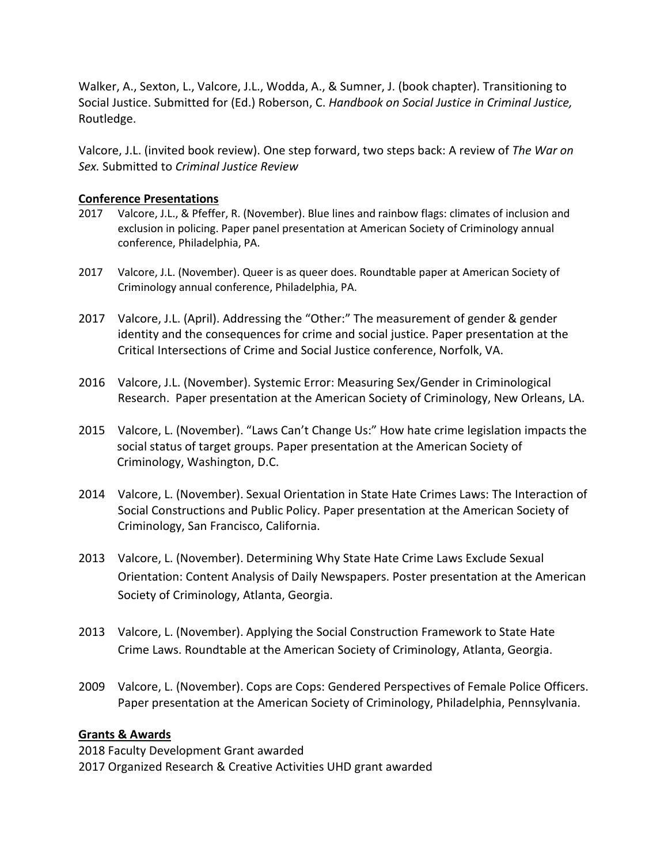Walker, A., Sexton, L., Valcore, J.L., Wodda, A., & Sumner, J. (book chapter). Transitioning to Social Justice. Submitted for (Ed.) Roberson, C. *Handbook on Social Justice in Criminal Justice,*  Routledge.

Valcore, J.L. (invited book review). One step forward, two steps back: A review of *The War on Sex.* Submitted to *Criminal Justice Review*

### **Conference Presentations**

- 2017 Valcore, J.L., & Pfeffer, R. (November). Blue lines and rainbow flags: climates of inclusion and exclusion in policing. Paper panel presentation at American Society of Criminology annual conference, Philadelphia, PA.
- 2017 Valcore, J.L. (November). Queer is as queer does. Roundtable paper at American Society of Criminology annual conference, Philadelphia, PA.
- 2017 Valcore, J.L. (April). Addressing the "Other:" The measurement of gender & gender identity and the consequences for crime and social justice. Paper presentation at the Critical Intersections of Crime and Social Justice conference, Norfolk, VA.
- 2016 Valcore, J.L. (November). Systemic Error: Measuring Sex/Gender in Criminological Research. Paper presentation at the American Society of Criminology, New Orleans, LA.
- 2015 Valcore, L. (November). "Laws Can't Change Us:" How hate crime legislation impacts the social status of target groups. Paper presentation at the American Society of Criminology, Washington, D.C.
- 2014 Valcore, L. (November). Sexual Orientation in State Hate Crimes Laws: The Interaction of Social Constructions and Public Policy. Paper presentation at the American Society of Criminology, San Francisco, California.
- 2013 Valcore, L. (November). Determining Why State Hate Crime Laws Exclude Sexual Orientation: Content Analysis of Daily Newspapers. Poster presentation at the American Society of Criminology, Atlanta, Georgia.
- 2013 Valcore, L. (November). Applying the Social Construction Framework to State Hate Crime Laws. Roundtable at the American Society of Criminology, Atlanta, Georgia.
- 2009 Valcore, L. (November). Cops are Cops: Gendered Perspectives of Female Police Officers. Paper presentation at the American Society of Criminology, Philadelphia, Pennsylvania.

## **Grants & Awards**

2018 Faculty Development Grant awarded 2017 Organized Research & Creative Activities UHD grant awarded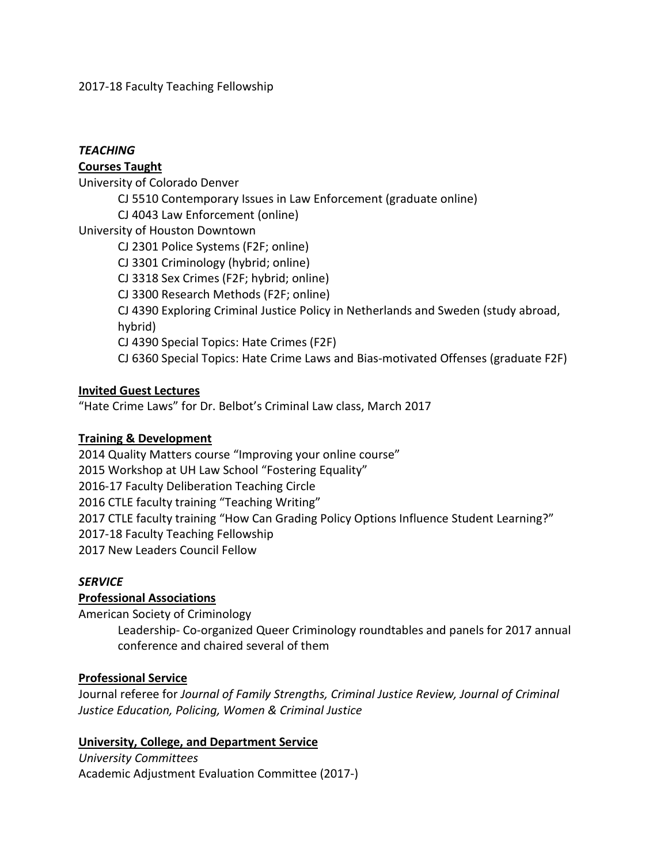2017-18 Faculty Teaching Fellowship

## *TEACHING*

# **Courses Taught**

University of Colorado Denver

- CJ 5510 Contemporary Issues in Law Enforcement (graduate online)
- CJ 4043 Law Enforcement (online)

University of Houston Downtown

CJ 2301 Police Systems (F2F; online)

- CJ 3301 Criminology (hybrid; online)
- CJ 3318 Sex Crimes (F2F; hybrid; online)
- CJ 3300 Research Methods (F2F; online)

CJ 4390 Exploring Criminal Justice Policy in Netherlands and Sweden (study abroad, hybrid)

CJ 4390 Special Topics: Hate Crimes (F2F)

CJ 6360 Special Topics: Hate Crime Laws and Bias-motivated Offenses (graduate F2F)

# **Invited Guest Lectures**

"Hate Crime Laws" for Dr. Belbot's Criminal Law class, March 2017

## **Training & Development**

2014 Quality Matters course "Improving your online course" 2015 Workshop at UH Law School "Fostering Equality" 2016-17 Faculty Deliberation Teaching Circle 2016 CTLE faculty training "Teaching Writing" 2017 CTLE faculty training "How Can Grading Policy Options Influence Student Learning?" 2017-18 Faculty Teaching Fellowship 2017 New Leaders Council Fellow

## *SERVICE*

# **Professional Associations**

American Society of Criminology

Leadership- Co-organized Queer Criminology roundtables and panels for 2017 annual conference and chaired several of them

# **Professional Service**

Journal referee for *Journal of Family Strengths, Criminal Justice Review, Journal of Criminal Justice Education, Policing, Women & Criminal Justice*

## **University, College, and Department Service**

# *University Committees*

Academic Adjustment Evaluation Committee (2017-)